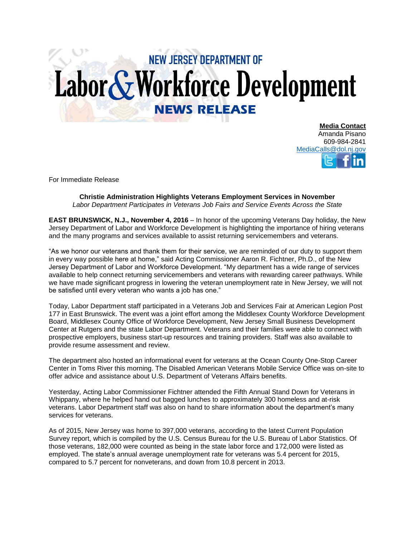## **NEW JERSEY DEPARTMENT OF** Labor & Workforce Development **NEWS RELEASE**

**Media Contact** Amanda Pisano 609-984-2841 [MediaCalls@dol.nj.gov](mailto:MediaCalls@dol.nj.gov)

For Immediate Release

## **Christie Administration Highlights Veterans Employment Services in November** *Labor Department Participates in Veterans Job Fairs and Service Events Across the State*

**EAST BRUNSWICK, N.J., November 4, 2016** – In honor of the upcoming Veterans Day holiday, the New Jersey Department of Labor and Workforce Development is highlighting the importance of hiring veterans and the many programs and services available to assist returning servicemembers and veterans.

"As we honor our veterans and thank them for their service, we are reminded of our duty to support them in every way possible here at home," said Acting Commissioner Aaron R. Fichtner, Ph.D., of the New Jersey Department of Labor and Workforce Development. "My department has a wide range of services available to help connect returning servicemembers and veterans with rewarding career pathways. While we have made significant progress in lowering the veteran unemployment rate in New Jersey, we will not be satisfied until every veteran who wants a job has one."

Today, Labor Department staff participated in a Veterans Job and Services Fair at American Legion Post 177 in East Brunswick. The event was a joint effort among the Middlesex County Workforce Development Board, Middlesex County Office of Workforce Development, New Jersey Small Business Development Center at Rutgers and the state Labor Department. Veterans and their families were able to connect with prospective employers, business start-up resources and training providers. Staff was also available to provide resume assessment and review.

The department also hosted an informational event for veterans at the Ocean County One-Stop Career Center in Toms River this morning. The Disabled American Veterans Mobile Service Office was on-site to offer advice and assistance about U.S. Department of Veterans Affairs benefits.

Yesterday, Acting Labor Commissioner Fichtner attended the Fifth Annual Stand Down for Veterans in Whippany, where he helped hand out bagged lunches to approximately 300 homeless and at-risk veterans. Labor Department staff was also on hand to share information about the department's many services for veterans.

As of 2015, New Jersey was home to 397,000 veterans, according to the latest Current Population Survey report, which is compiled by the U.S. Census Bureau for the U.S. Bureau of Labor Statistics. Of those veterans, 182,000 were counted as being in the state labor force and 172,000 were listed as employed. The state's annual average unemployment rate for veterans was 5.4 percent for 2015, compared to 5.7 percent for nonveterans, and down from 10.8 percent in 2013.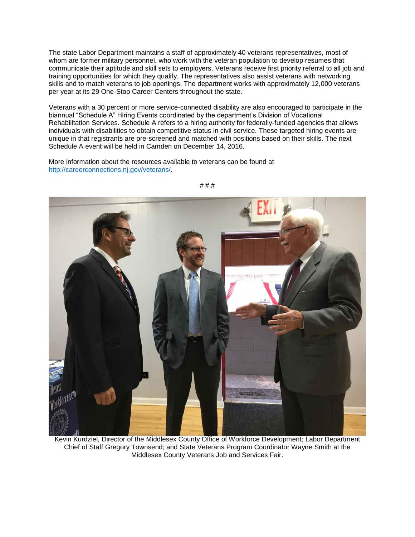The state Labor Department maintains a staff of approximately 40 veterans representatives, most of whom are former military personnel, who work with the veteran population to develop resumes that communicate their aptitude and skill sets to employers. Veterans receive first priority referral to all job and training opportunities for which they qualify. The representatives also assist veterans with networking skills and to match veterans to job openings. The department works with approximately 12,000 veterans per year at its 29 One-Stop Career Centers throughout the state.

Veterans with a 30 percent or more service-connected disability are also encouraged to participate in the biannual "Schedule A" Hiring Events coordinated by the department's Division of Vocational Rehabilitation Services. Schedule A refers to a hiring authority for federally-funded agencies that allows individuals with disabilities to obtain competitive status in civil service. These targeted hiring events are unique in that registrants are pre-screened and matched with positions based on their skills. The next Schedule A event will be held in Camden on December 14, 2016.

More information about the resources available to veterans can be found at [http://careerconnections.nj.gov/veterans/.](http://careerconnections.nj.gov/veterans/)



# # #

Kevin Kurdziel, Director of the Middlesex County Office of Workforce Development; Labor Department Chief of Staff Gregory Townsend; and State Veterans Program Coordinator Wayne Smith at the Middlesex County Veterans Job and Services Fair.